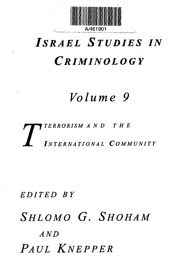

# *ISRAEL STUDIES IN CRIMINOLOGY*

### *Volume 9*

### *T TERRORISM AND THE INTERNATIONAL COMMUNITY*

#### *EDITED BY*

## *SHLOMO G. SHOHAM AND PAUL KNEPPER*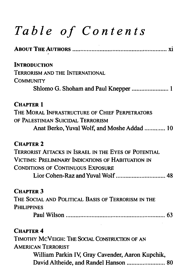## *Table of Contents*

| <b>INTRODUCTION</b>                                         |
|-------------------------------------------------------------|
| TERRORISM AND THE INTERNATIONAL                             |
| <b>COMMUNITY</b>                                            |
| Shlomo G. Shoham and Paul Knepper  1                        |
| <b>CHAPTER 1</b>                                            |
| THE MORAL INFRASTRUCTURE OF CHIEF PERPETRATORS              |
| OF PALESTINIAN SUICIDAL TERRORISM                           |
| Anat Berko, Yuval Wolf, and Moshe Addad  10                 |
| <b>CHAPTER 2</b>                                            |
| <b>TERRORIST ATTACKS IN ISRAEL IN THE EYES OF POTENTIAL</b> |
| VICTIMS: PRELIMINARY INDICATIONS OF HABITUATION IN          |
| <b>CONDITIONS OF CONTINUOUS EXPOSURE</b>                    |
|                                                             |
| <b>CHAPTER 3</b>                                            |
| THE SOCIAL AND POLITICAL BASIS OF TERRORISM IN THE          |
| <b>PHILIPPINES</b>                                          |
|                                                             |
| <b>CHAPTER 4</b>                                            |
| TIMOTHY MCVEIGH: THE SOCIAL CONSTRUCTION OF AN              |
| <b>AMERICAN TERRORIST</b>                                   |
| William Parkin IV, Gray Cavender, Aaron Kupchik,            |
| David Altheide, and Randel Hanson  80                       |